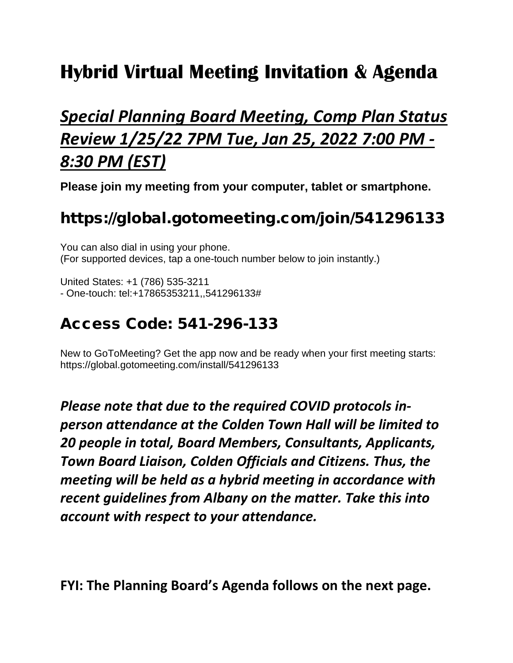# **Hybrid Virtual Meeting Invitation & Agenda**

## *Special Planning Board Meeting, Comp Plan Status Review 1/25/22 7PM Tue, Jan 25, 2022 7:00 PM - 8:30 PM (EST)*

**Please join my meeting from your computer, tablet or smartphone.**

## https://global.gotomeeting.com/join/541296133

You can also dial in using your phone. (For supported devices, tap a one-touch number below to join instantly.)

United States: +1 (786) 535-3211 - One-touch: tel:+17865353211,,541296133#

#### Access Code: 541-296-133

New to GoToMeeting? Get the app now and be ready when your first meeting starts: https://global.gotomeeting.com/install/541296133

*Please note that due to the required COVID protocols inperson attendance at the Colden Town Hall will be limited to 20 people in total, Board Members, Consultants, Applicants, Town Board Liaison, Colden Officials and Citizens. Thus, the meeting will be held as a hybrid meeting in accordance with recent guidelines from Albany on the matter. Take this into account with respect to your attendance.*

**FYI: The Planning Board's Agenda follows on the next page.**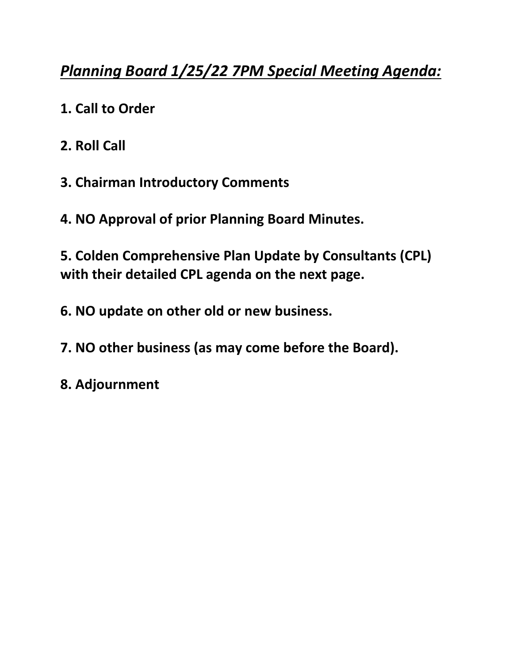## *Planning Board 1/25/22 7PM Special Meeting Agenda:*

- **1. Call to Order**
- **2. Roll Call**
- **3. Chairman Introductory Comments**
- **4. NO Approval of prior Planning Board Minutes.**

**5. Colden Comprehensive Plan Update by Consultants (CPL) with their detailed CPL agenda on the next page.**

- **6. NO update on other old or new business.**
- **7. NO other business (as may come before the Board).**
- **8. Adjournment**